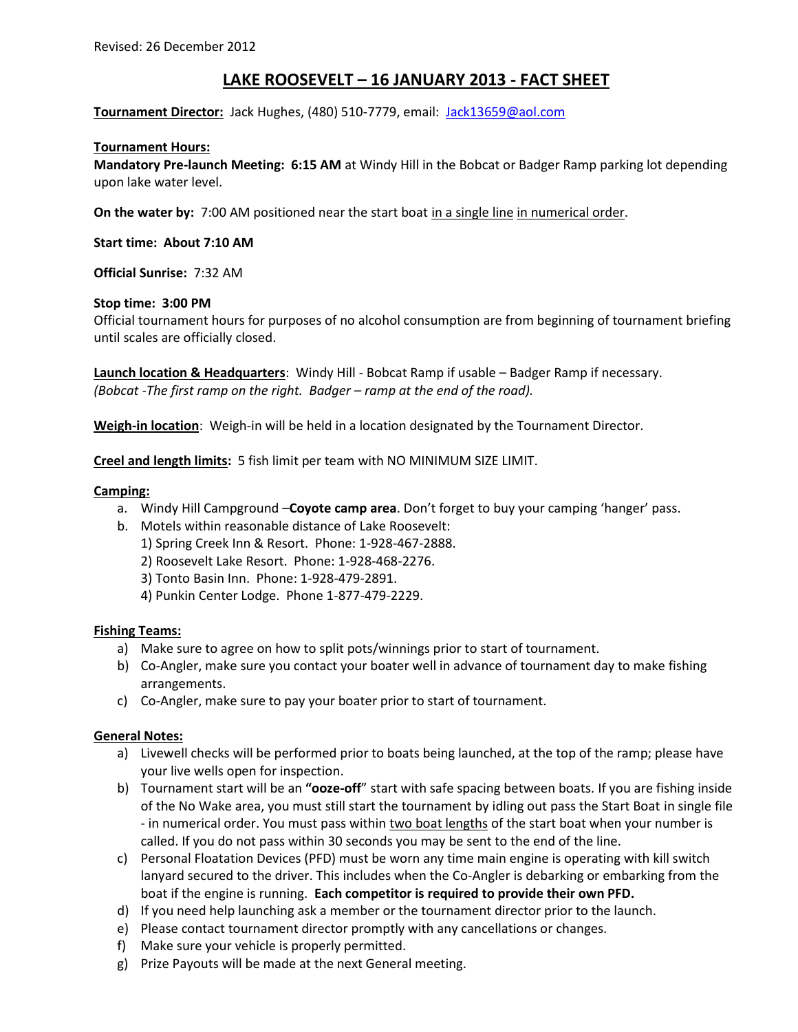# **LAKE ROOSEVELT – 16 JANUARY 2013 - FACT SHEET**

**Tournament Director:** Jack Hughes, (480) 510-7779, email: Jack13659@aol.com

# **Tournament Hours:**

**Mandatory Pre-launch Meeting: 6:15 AM** at Windy Hill in the Bobcat or Badger Ramp parking lot depending upon lake water level.

**On the water by:** 7:00 AM positioned near the start boat in a single line in numerical order.

**Start time: About 7:10 AM**

**Official Sunrise:** 7:32 AM

# **Stop time: 3:00 PM**

Official tournament hours for purposes of no alcohol consumption are from beginning of tournament briefing until scales are officially closed.

**Launch location & Headquarters**: Windy Hill - Bobcat Ramp if usable – Badger Ramp if necessary. *(Bobcat -The first ramp on the right. Badger – ramp at the end of the road).*

**Weigh-in location**: Weigh-in will be held in a location designated by the Tournament Director.

**Creel and length limits:** 5 fish limit per team with NO MINIMUM SIZE LIMIT.

# **Camping:**

- a. Windy Hill Campground –**Coyote camp area**. Don't forget to buy your camping 'hanger' pass.
- b. Motels within reasonable distance of Lake Roosevelt:
	- 1) Spring Creek Inn & Resort. Phone: 1-928-467-2888.
	- 2) Roosevelt Lake Resort. Phone: 1-928-468-2276.
	- 3) Tonto Basin Inn. Phone: 1-928-479-2891.
	- 4) Punkin Center Lodge. Phone 1-877-479-2229.

### **Fishing Teams:**

- a) Make sure to agree on how to split pots/winnings prior to start of tournament.
- b) Co-Angler, make sure you contact your boater well in advance of tournament day to make fishing arrangements.
- c) Co-Angler, make sure to pay your boater prior to start of tournament.

### **General Notes:**

- a) Livewell checks will be performed prior to boats being launched, at the top of the ramp; please have your live wells open for inspection.
- b) Tournament start will be an **"ooze-off**" start with safe spacing between boats. If you are fishing inside of the No Wake area, you must still start the tournament by idling out pass the Start Boat in single file - in numerical order. You must pass within two boat lengths of the start boat when your number is called. If you do not pass within 30 seconds you may be sent to the end of the line.
- c) Personal Floatation Devices (PFD) must be worn any time main engine is operating with kill switch lanyard secured to the driver. This includes when the Co-Angler is debarking or embarking from the boat if the engine is running. **Each competitor is required to provide their own PFD.**
- d) If you need help launching ask a member or the tournament director prior to the launch.
- e) Please contact tournament director promptly with any cancellations or changes.
- f) Make sure your vehicle is properly permitted.
- g) Prize Payouts will be made at the next General meeting.